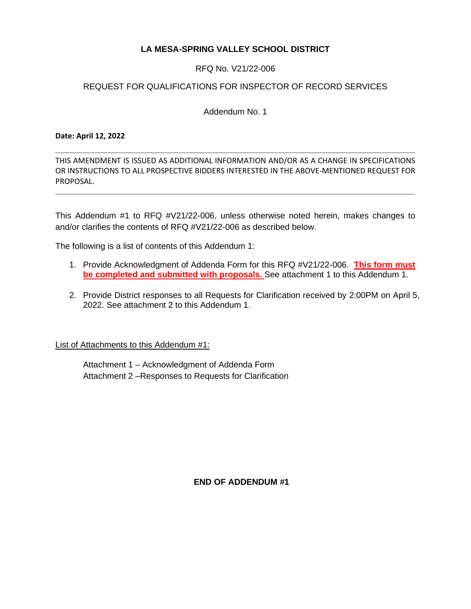# **LA MESA-SPRING VALLEY SCHOOL DISTRICT**

## RFQ No. V21/22-006

## REQUEST FOR QUALIFICATIONS FOR INSPECTOR OF RECORD SERVICES

Addendum No. 1

#### **Date: April 12, 2022**

THIS AMENDMENT IS ISSUED AS ADDITIONAL INFORMATION AND/OR AS A CHANGE IN SPECIFICATIONS OR INSTRUCTIONS TO ALL PROSPECTIVE BIDDERS INTERESTED IN THE ABOVE-MENTIONED REQUEST FOR PROPOSAL.

This Addendum #1 to RFQ #V21/22-006, unless otherwise noted herein, makes changes to and/or clarifies the contents of RFQ #V21/22-006 as described below.

The following is a list of contents of this Addendum 1:

- 1. Provide Acknowledgment of Addenda Form for this RFQ #V21/22-006. **This form must be completed and submitted with proposals.** See attachment 1 to this Addendum 1.
- 2. Provide District responses to all Requests for Clarification received by 2:00PM on April 5, 2022. See attachment 2 to this Addendum 1.

List of Attachments to this Addendum #1:

Attachment 1 – Acknowledgment of Addenda Form Attachment 2 –Responses to Requests for Clarification

**END OF ADDENDUM #1**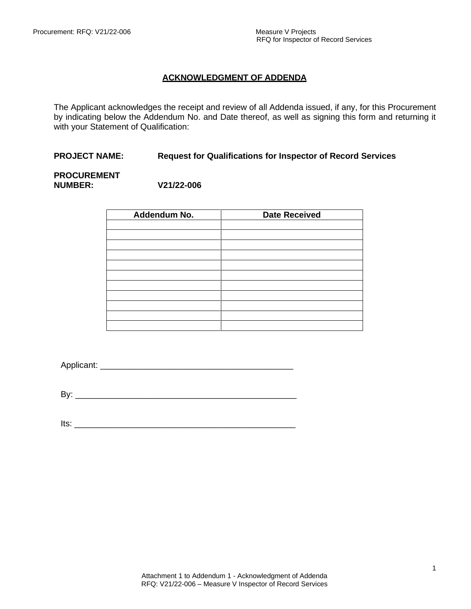## **ACKNOWLEDGMENT OF ADDENDA**

The Applicant acknowledges the receipt and review of all Addenda issued, if any, for this Procurement by indicating below the Addendum No. and Date thereof, as well as signing this form and returning it with your Statement of Qualification:

#### **PROJECT NAME: Request for Qualifications for Inspector of Record Services**

#### **PROCUREMENT NUMBER: V21/22-006**

| Addendum No. | <b>Date Received</b> |
|--------------|----------------------|
|              |                      |
|              |                      |
|              |                      |
|              |                      |
|              |                      |
|              |                      |
|              |                      |
|              |                      |
|              |                      |
|              |                      |
|              |                      |

Applicant: \_\_\_\_\_\_\_\_\_\_\_\_\_\_\_\_\_\_\_\_\_\_\_\_\_\_\_\_\_\_\_\_\_\_\_\_\_\_\_\_\_

By: \_\_\_\_\_\_\_\_\_\_\_\_\_\_\_\_\_\_\_\_\_\_\_\_\_\_\_\_\_\_\_\_\_\_\_\_\_\_\_\_\_\_\_\_\_\_\_

Its: \_\_\_\_\_\_\_\_\_\_\_\_\_\_\_\_\_\_\_\_\_\_\_\_\_\_\_\_\_\_\_\_\_\_\_\_\_\_\_\_\_\_\_\_\_\_\_